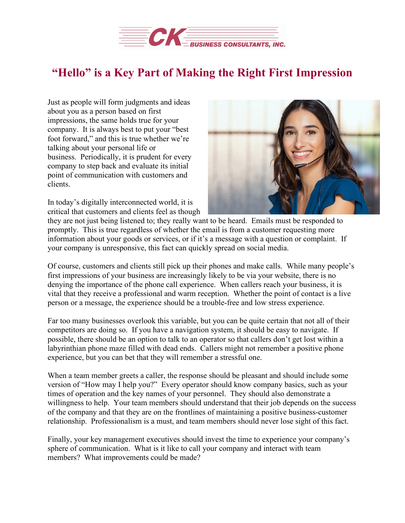

## **"Hello" is a Key Part of Making the Right First Impression**

Just as people will form judgments and ideas about you as a person based on first impressions, the same holds true for your company. It is always best to put your "best foot forward," and this is true whether we're talking about your personal life or business. Periodically, it is prudent for every company to step back and evaluate its initial point of communication with customers and clients.

In today's digitally interconnected world, it is critical that customers and clients feel as though



they are not just being listened to; they really want to be heard. Emails must be responded to promptly. This is true regardless of whether the email is from a customer requesting more information about your goods or services, or if it's a message with a question or complaint. If your company is unresponsive, this fact can quickly spread on social media.

Of course, customers and clients still pick up their phones and make calls. While many people's first impressions of your business are increasingly likely to be via your website, there is no denying the importance of the phone call experience. When callers reach your business, it is vital that they receive a professional and warm reception. Whether the point of contact is a live person or a message, the experience should be a trouble-free and low stress experience.

Far too many businesses overlook this variable, but you can be quite certain that not all of their competitors are doing so. If you have a navigation system, it should be easy to navigate. If possible, there should be an option to talk to an operator so that callers don't get lost within a labyrinthian phone maze filled with dead ends. Callers might not remember a positive phone experience, but you can bet that they will remember a stressful one.

When a team member greets a caller, the response should be pleasant and should include some version of "How may I help you?" Every operator should know company basics, such as your times of operation and the key names of your personnel. They should also demonstrate a willingness to help. Your team members should understand that their job depends on the success of the company and that they are on the frontlines of maintaining a positive business-customer relationship. Professionalism is a must, and team members should never lose sight of this fact.

Finally, your key management executives should invest the time to experience your company's sphere of communication. What is it like to call your company and interact with team members? What improvements could be made?